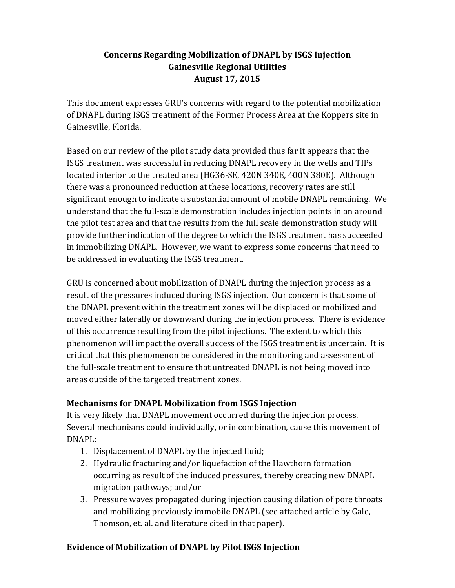# **Concerns Regarding Mobilization of DNAPL by ISGS Injection Gainesville Regional Utilities August 17, 2015**

This document expresses GRU's concerns with regard to the potential mobilization of DNAPL during ISGS treatment of the Former Process Area at the Koppers site in Gainesville, Florida.

Based on our review of the pilot study data provided thus far it appears that the ISGS treatment was successful in reducing DNAPL recovery in the wells and TIPs located interior to the treated area (HG36-SE, 420N 340E, 400N 380E). Although there was a pronounced reduction at these locations, recovery rates are still significant enough to indicate a substantial amount of mobile DNAPL remaining. We understand that the full-scale demonstration includes injection points in an around the pilot test area and that the results from the full scale demonstration study will provide further indication of the degree to which the ISGS treatment has succeeded in immobilizing DNAPL. However, we want to express some concerns that need to be addressed in evaluating the ISGS treatment.

GRU is concerned about mobilization of DNAPL during the injection process as a result of the pressures induced during ISGS injection. Our concern is that some of the DNAPL present within the treatment zones will be displaced or mobilized and moved either laterally or downward during the injection process. There is evidence of this occurrence resulting from the pilot injections. The extent to which this phenomenon will impact the overall success of the ISGS treatment is uncertain. It is critical that this phenomenon be considered in the monitoring and assessment of the full-scale treatment to ensure that untreated DNAPL is not being moved into areas outside of the targeted treatment zones.

## **Mechanisms for DNAPL Mobilization from ISGS Injection**

It is very likely that DNAPL movement occurred during the injection process. Several mechanisms could individually, or in combination, cause this movement of DNAPL: 

- 1. Displacement of DNAPL by the injected fluid;
- 2. Hydraulic fracturing and/or liquefaction of the Hawthorn formation occurring as result of the induced pressures, thereby creating new DNAPL migration pathways; and/or
- 3. Pressure waves propagated during injection causing dilation of pore throats and mobilizing previously immobile DNAPL (see attached article by Gale, Thomson, et. al. and literature cited in that paper).

# **Evidence of Mobilization of DNAPL by Pilot ISGS Injection**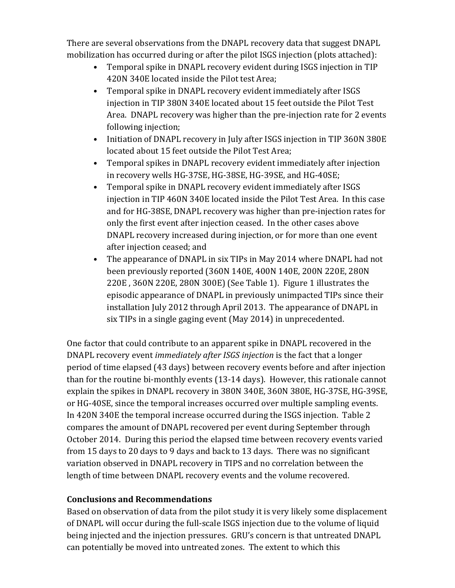There are several observations from the DNAPL recovery data that suggest DNAPL mobilization has occurred during or after the pilot ISGS injection (plots attached):

- Temporal spike in DNAPL recovery evident during ISGS injection in TIP 420N 340E located inside the Pilot test Area;
- Temporal spike in DNAPL recovery evident immediately after ISGS injection in TIP 380N 340E located about 15 feet outside the Pilot Test Area. DNAPL recovery was higher than the pre-injection rate for 2 events following injection;
- Initiation of DNAPL recovery in July after ISGS injection in TIP 360N 380E located about 15 feet outside the Pilot Test Area;
- Temporal spikes in DNAPL recovery evident immediately after injection in recovery wells HG-37SE, HG-38SE, HG-39SE, and HG-40SE;
- Temporal spike in DNAPL recovery evident immediately after ISGS injection in TIP 460N 340E located inside the Pilot Test Area. In this case and for HG-38SE, DNAPL recovery was higher than pre-injection rates for only the first event after injection ceased. In the other cases above DNAPL recovery increased during injection, or for more than one event after injection ceased; and
- The appearance of DNAPL in six TIPs in May 2014 where DNAPL had not been previously reported (360N 140E, 400N 140E, 200N 220E, 280N 220E, 360N 220E, 280N 300E) (See Table 1). Figure 1 illustrates the episodic appearance of DNAPL in previously unimpacted TIPs since their installation July 2012 through April 2013. The appearance of DNAPL in six TIPs in a single gaging event  $(May 2014)$  in unprecedented.

One factor that could contribute to an apparent spike in DNAPL recovered in the DNAPL recovery event *immediately after ISGS injection* is the fact that a longer period of time elapsed (43 days) between recovery events before and after injection than for the routine bi-monthly events (13-14 days). However, this rationale cannot explain the spikes in DNAPL recovery in 380N 340E, 360N 380E, HG-37SE, HG-39SE, or HG-40SE, since the temporal increases occurred over multiple sampling events. In 420N 340E the temporal increase occurred during the ISGS injection. Table 2 compares the amount of DNAPL recovered per event during September through October 2014. During this period the elapsed time between recovery events varied from 15 days to 20 days to 9 days and back to 13 days. There was no significant variation observed in DNAPL recovery in TIPS and no correlation between the length of time between DNAPL recovery events and the volume recovered.

## **Conclusions and Recommendations**

Based on observation of data from the pilot study it is very likely some displacement of DNAPL will occur during the full-scale ISGS injection due to the volume of liquid being injected and the injection pressures. GRU's concern is that untreated DNAPL can potentially be moved into untreated zones. The extent to which this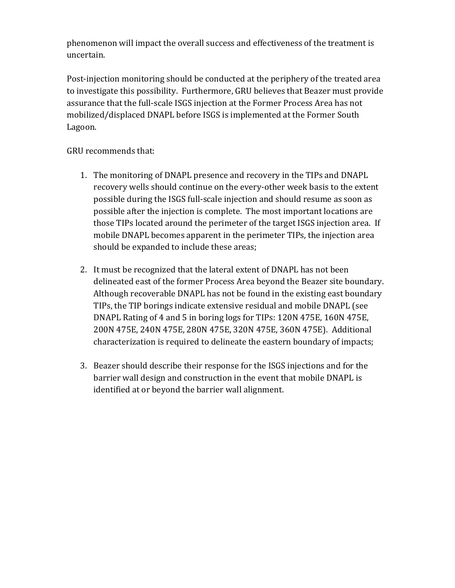phenomenon will impact the overall success and effectiveness of the treatment is uncertain. 

Post-injection monitoring should be conducted at the periphery of the treated area to investigate this possibility. Furthermore, GRU believes that Beazer must provide assurance that the full-scale ISGS injection at the Former Process Area has not mobilized/displaced DNAPL before ISGS is implemented at the Former South Lagoon. 

GRU recommends that:

- 1. The monitoring of DNAPL presence and recovery in the TIPs and DNAPL recovery wells should continue on the every-other week basis to the extent possible during the ISGS full-scale injection and should resume as soon as possible after the injection is complete. The most important locations are those TIPs located around the perimeter of the target ISGS injection area. If mobile DNAPL becomes apparent in the perimeter TIPs, the injection area should be expanded to include these areas;
- 2. It must be recognized that the lateral extent of DNAPL has not been delineated east of the former Process Area beyond the Beazer site boundary. Although recoverable DNAPL has not be found in the existing east boundary TIPs, the TIP borings indicate extensive residual and mobile DNAPL (see DNAPL Rating of 4 and 5 in boring logs for TIPs: 120N 475E, 160N 475E, 200N 475E, 240N 475E, 280N 475E, 320N 475E, 360N 475E). Additional characterization is required to delineate the eastern boundary of impacts;
- 3. Beazer should describe their response for the ISGS injections and for the barrier wall design and construction in the event that mobile DNAPL is identified at or beyond the barrier wall alignment.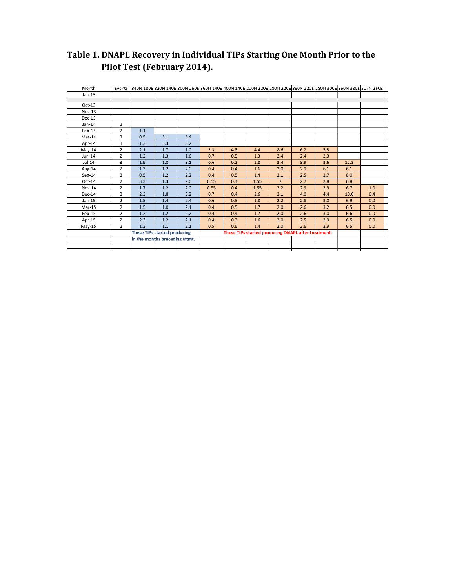# **Table 1. DNAPL Recovery in Individual TIPs Starting One Month Prior to the Pilot Test (February 2014).**

| Month    |                |                                                                                     | Events 340N 180E 320N 140E 300N 260E 360N 140E 400N 140E 200N 220E 280N 220E 360N 220E 280N 300E 360N 380E 507N 260E |     |      |     |      |                |     |     |      |     |  |
|----------|----------------|-------------------------------------------------------------------------------------|----------------------------------------------------------------------------------------------------------------------|-----|------|-----|------|----------------|-----|-----|------|-----|--|
| Jan-13   |                |                                                                                     |                                                                                                                      |     |      |     |      |                |     |     |      |     |  |
|          |                |                                                                                     |                                                                                                                      |     |      |     |      |                |     |     |      |     |  |
| $Oct-13$ |                |                                                                                     |                                                                                                                      |     |      |     |      |                |     |     |      |     |  |
| Nov-13   |                |                                                                                     |                                                                                                                      |     |      |     |      |                |     |     |      |     |  |
| $Dec-13$ |                |                                                                                     |                                                                                                                      |     |      |     |      |                |     |     |      |     |  |
| Jan-14   | 3              |                                                                                     |                                                                                                                      |     |      |     |      |                |     |     |      |     |  |
| Feb-14   | $\overline{2}$ | 1.1                                                                                 |                                                                                                                      |     |      |     |      |                |     |     |      |     |  |
| Mar-14   | 2              | 0.5                                                                                 | 5.1                                                                                                                  | 5.4 |      |     |      |                |     |     |      |     |  |
| Apr-14   | $\mathbf{1}$   | 1.3                                                                                 | 5.3                                                                                                                  | 3.2 |      |     |      |                |     |     |      |     |  |
| May-14   | $\overline{2}$ | 2.1                                                                                 | 1.7                                                                                                                  | 1.0 | 2.3  | 4.8 | 4.4  | 8.6            | 6.2 | 5.3 |      |     |  |
| Jun-14   | 2              | 1.2                                                                                 | 1.3                                                                                                                  | 1.6 | 0.7  | 0.5 | 1.3  | 2.4            | 2.4 | 2.3 |      |     |  |
| Jul-14   | 3              | 1.9                                                                                 | 1.8                                                                                                                  | 3.1 | 0.6  | 0.2 | 2.8  | 3.4            | 3.9 | 3.6 | 12.3 |     |  |
| Aug-14   | $\overline{2}$ | 1.3                                                                                 | 1.2                                                                                                                  | 2.0 | 0.4  | 0.4 | 1.6  | 2.0            | 2.9 | 6.1 | 6.1  |     |  |
| $Sep-14$ | $\overline{2}$ | 0.5                                                                                 | 1.2                                                                                                                  | 2.2 | 0.4  | 0.5 | 1.4  | 2.1            | 2.5 | 2.7 | 8.0  |     |  |
| $Oct-14$ | 2              | 3.3                                                                                 | 1.3                                                                                                                  | 2.0 | 0.55 | 0.4 | 1.55 | $\overline{2}$ | 2.7 | 2.8 | 6.8  |     |  |
| Nov-14   | 2              | 1.7                                                                                 | 1.2                                                                                                                  | 2.0 | 0.55 | 0.4 | 1.55 | 2.2            | 2.9 | 2.9 | 6.7  | 1.0 |  |
| Dec-14   | 3              | 2.3                                                                                 | 1.8                                                                                                                  | 3.2 | 0.7  | 0.4 | 2.6  | 3.1            | 4.0 | 4.4 | 10.0 | 0.4 |  |
| Jan-15   | 2              | 1.5                                                                                 | 1.4                                                                                                                  | 2.4 | 0.6  | 0.5 | 1.8  | 2.2            | 2.8 | 3.0 | 6.9  | 0.0 |  |
| Mar-15   | 2              | 1.5                                                                                 | 1.0                                                                                                                  | 2.1 | 0.4  | 0.5 | 1.7  | 2.0            | 2.6 | 3.2 | 6.5  | 0.0 |  |
| Feb-15   | $\overline{2}$ | 1.2                                                                                 | 1.2                                                                                                                  | 2.2 | 0.4  | 0.4 | 1.7  | 2.0            | 2.6 | 3.0 | 6.6  | 0.0 |  |
| Apr-15   | 2              | 2.3                                                                                 | 1.2                                                                                                                  | 2.1 | 0.4  | 0.3 | 1.6  | 2.0            | 2.5 | 2.9 | 6.5  | 0.0 |  |
| May-15   | 2              | 1.3                                                                                 | 1.1                                                                                                                  | 2.1 | 0.5  | 0.6 | 1.4  | 2.0            | 2.6 | 2.9 | 6.5  | 0.0 |  |
|          |                | These TIPs started producing<br>These TIPs started producing DNAPL after treatment. |                                                                                                                      |     |      |     |      |                |     |     |      |     |  |
|          |                | in the months preceding trtmt.                                                      |                                                                                                                      |     |      |     |      |                |     |     |      |     |  |
|          |                |                                                                                     |                                                                                                                      |     |      |     |      |                |     |     |      |     |  |
|          |                |                                                                                     |                                                                                                                      |     |      |     |      |                |     |     |      |     |  |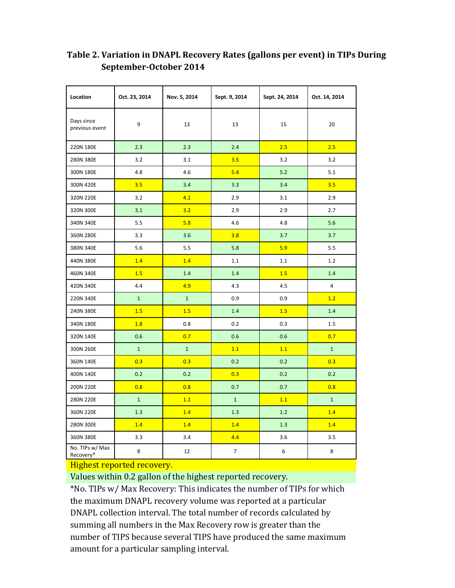| Location                     | Oct. 23, 2014                                          | Nov. 5, 2014 | Sept. 9, 2014  | Sept. 24, 2014 | Oct. 14, 2014  |  |
|------------------------------|--------------------------------------------------------|--------------|----------------|----------------|----------------|--|
| Days since<br>previous event | 9                                                      | 13           | 13             | 15             | 20             |  |
| 220N 180E                    | 2.3                                                    | 2.3          | 2.4            | 2.5            | 2.5            |  |
| 280N 380E                    | 3.2                                                    | 3.1          | 3.5            | 3.2            | 3.2            |  |
| 300N 180E                    | 4.8                                                    | 4.6          | 5.4            | 5.2            | 5.1            |  |
| 300N 420E                    | 3.5                                                    | 3.4          | 3.3            | 3.4            | 3.5            |  |
| 320N 220E                    | 3.2                                                    | 4.1          | 2.9            | 3.1            | 2.9            |  |
| 320N 300E                    | 3.1                                                    | 3.2          | 2.9            | 2.9            | 2.7            |  |
| 340N 340E                    | 5.5                                                    | 5.8          | 4.6            | 4.8            | 5.6            |  |
| 360N 280E                    | 3.3                                                    | 3.6          | 3.8            | 3.7            | 3.7            |  |
| 380N 340E                    | 5.6                                                    | 5.5          | 5.8            | 5.9            | 5.5            |  |
| 440N 380E                    | 1.4                                                    | 1.4          | 1.1            | 1.1            | 1.2            |  |
| 460N 340E                    | 1.5                                                    | 1.4          | 1.4            | 1.5            | 1.4            |  |
| 420N 340E                    | 4.4                                                    | 4.9          | 4.3            | 4.5            | 4              |  |
| 220N 340E                    | $\mathbf{1}$                                           | $\mathbf{1}$ | 0.9            | 0.9            | 1.2            |  |
| 240N 380E                    | 1.5                                                    | 1.5          | 1.4            | 1.5            | 1.4            |  |
| 340N 180E                    | 1.8                                                    | 0.8          | 0.2            | 0.3            | 1.5            |  |
| 320N 140E                    | 0.6                                                    | 0.7          | 0.6            | 0.6            | 0.7            |  |
| 300N 260E                    | $\mathbf{1}$                                           | $\mathbf{1}$ | 1.1            | 1.1            | $\mathbf{1}$   |  |
| 360N 140E                    | 0.3                                                    | 0.3          | 0.2            | 0.2            | 0.3            |  |
| 400N 140E                    | 0.2                                                    | 0.2          | 0.3            | 0.2            | 0.2            |  |
| 200N 220E                    | 0.8                                                    | 0.8          | 0.7            | 0.7            | 0.8            |  |
| 280N 220E                    | $\mathbf 1$                                            | 1.1          | $\mathbf{1}$   | 1.1            | $\overline{1}$ |  |
| 360N 220E                    | 1.3                                                    | 1.4          | 1.3            | 1.2            | 1.4            |  |
| 280N 300E                    | 1.4                                                    | 1.4          | 1.4            | 1.3            | 1.4            |  |
| 360N 380E                    | 3.3                                                    | 3.4          | 4.4            | 3.6            | 3.5            |  |
| No. TIPs w/ Max<br>Recovery* | 8<br>$\overline{\text{II}}$ also at vanagted vagariave | 12           | $\overline{7}$ | 6              | 8              |  |

# **Table 2. Variation in DNAPL Recovery Rates (gallons per event) in TIPs During September‐October 2014**

#### Highest reported recovery.

Values within 0.2 gallon of the highest reported recovery.

\*No. TIPs w/ Max Recovery: This indicates the number of TIPs for which the maximum DNAPL recovery volume was reported at a particular DNAPL collection interval. The total number of records calculated by summing all numbers in the Max Recovery row is greater than the number of TIPS because several TIPS have produced the same maximum amount for a particular sampling interval.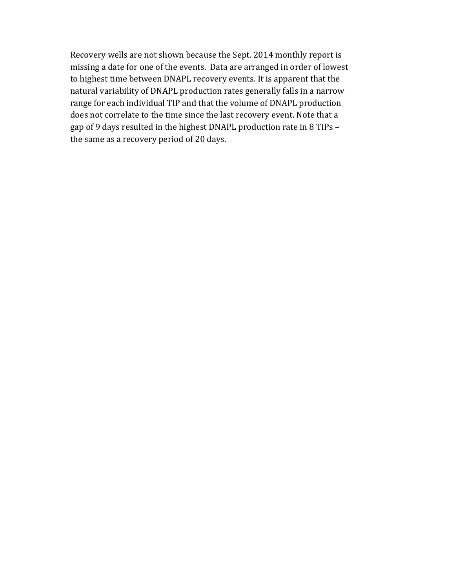Recovery wells are not shown because the Sept. 2014 monthly report is missing a date for one of the events. Data are arranged in order of lowest to highest time between DNAPL recovery events. It is apparent that the natural variability of DNAPL production rates generally falls in a narrow range for each individual TIP and that the volume of DNAPL production does not correlate to the time since the last recovery event. Note that a gap of 9 days resulted in the highest DNAPL production rate in 8 TIPs – the same as a recovery period of 20 days.